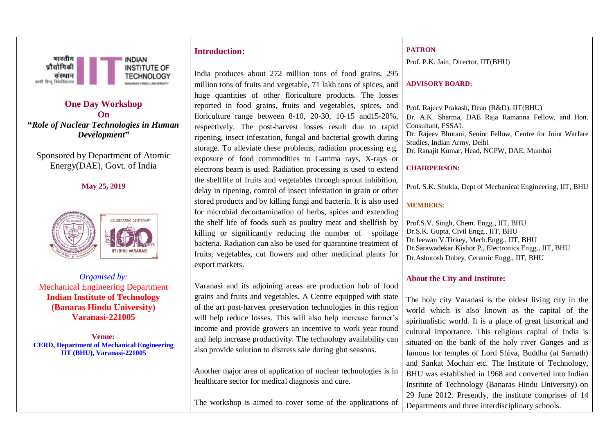

**One Day Workshop On "***Role of Nuclear Technologies in Human Development***"**

Sponsored by Department of Atomic Energy(DAE), Govt. of India

**May 25, 2019**



*Organised by:* Mechanical Engineering Department **Indian Institute of Technology (Banaras Hindu University) Varanasi-221005**

**Venue: CERD, Department of Mechanical Engineering IIT (BHU), Varanasi-221005**

# **Introduction:**

India produces about 272 million tons of food grains, 295 million tons of fruits and vegetable, 71 lakh tons of spices, and huge quantities of other floriculture products. The losses reported in food grains, fruits and vegetables, spices, and floriculture range between 8-10, 20-30, 10-15 and15-20%, respectively. The post-harvest losses result due to rapid ripening, insect infestation, fungal and bacterial growth during storage. To alleviate these problems, radiation processing e.g. exposure of food commodities to Gamma rays, X-rays or electrons beam is used. Radiation processing is used to extend the shelflife of fruits and vegetables through sprout inhibition, delay in ripening, control of insect infestation in grain or other stored products and by killing fungi and bacteria. It is also used for microbial decontamination of herbs, spices and extending the shelf life of foods such as poultry meat and shellfish by killing or significantly reducing the number of spoilage bacteria. Radiation can also be used for quarantine treatment of fruits, vegetables, cut flowers and other medicinal plants for export markets.

Varanasi and its adjoining areas are production hub of food grains and fruits and vegetables. A Centre equipped with state of the art post-harvest preservation technologies in this region will help reduce losses. This will also help increase farmer's income and provide growers an incentive to work year round and help increase productivity. The technology availability can also provide solution to distress sale during glut seasons.

Another major area of application of nuclear technologies is in healthcare sector for medical diagnosis and cure.

The workshop is aimed to cover some of the applications of

#### **PATRON**

Prof. P.K. Jain, Director, IIT(BHU)

### **ADVISORY BOARD:**

Prof. Rajeev Prakash, Dean (R&D), IIT(BHU) Dr. A.K. Sharma, DAE Raja Ramanna Fellow, and Hon. Consultant, FSSAI. Dr. Rajeev Bhutani, Senior Fellow, Centre for Joint Warfare Studies, Indian Army, Delhi Dr. Ranajit Kumar, Head, NCPW, DAE, Mumbai

#### **CHAIRPERSON:**

Prof. S.K. Shukla, Dept of Mechanical Engineering, IIT, BHU

### **MEMBERS:**

Prof.S.V. Singh, Chem. Engg., IIT, BHU Dr.S.K. Gupta, Civil Engg., IIT, BHU Dr.Jeewan V.Tirkey, Mech.Engg., IIT, BHU Dr.Sarawadekar Kishor P., Electronics Engg., IIT, BHU Dr.Ashutosh Dubey, Ceramic Engg., IIT, BHU

## **About the City and Institute:**

The holy city Varanasi is the oldest living city in the world which is also known as the capital of the spiritualistic world. It is a place of great historical and cultural importance. This religious capital of India is situated on the bank of the holy river Ganges and is famous for temples of Lord Shiva, Buddha (at Sarnath) and Sankat Mochan etc. The Institute of Technology, BHU was established in 1968 and converted into Indian Institute of Technology (Banaras Hindu University) on 29 June 2012. Presently, the institute comprises of 14 Departments and three interdisciplinary schools.